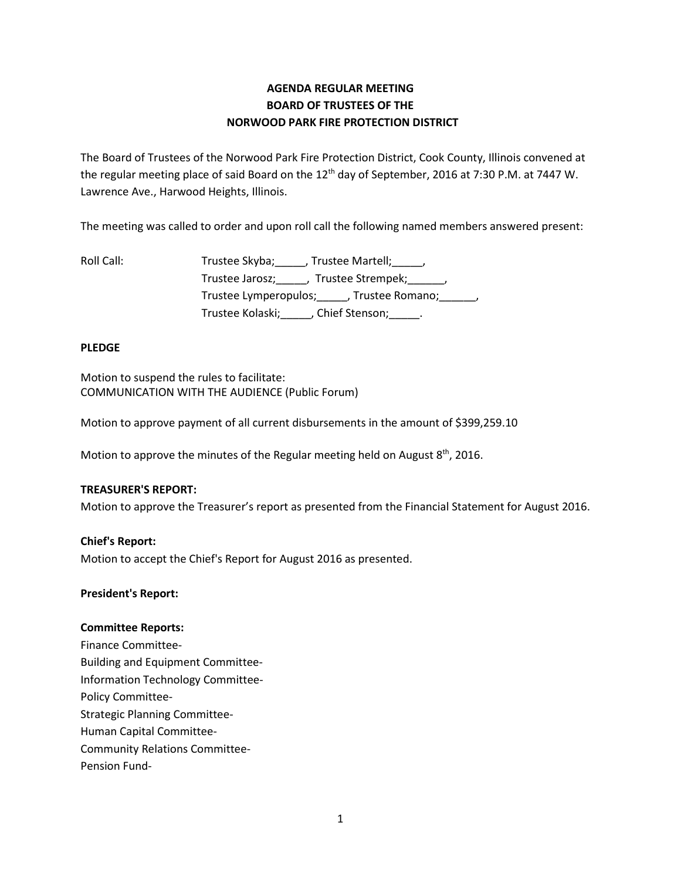# **AGENDA REGULAR MEETING BOARD OF TRUSTEES OF THE NORWOOD PARK FIRE PROTECTION DISTRICT**

The Board of Trustees of the Norwood Park Fire Protection District, Cook County, Illinois convened at the regular meeting place of said Board on the 12<sup>th</sup> day of September, 2016 at 7:30 P.M. at 7447 W. Lawrence Ave., Harwood Heights, Illinois.

The meeting was called to order and upon roll call the following named members answered present:

| Roll Call: | Trustee Skyba; _____, Trustee Martell; _____,          |
|------------|--------------------------------------------------------|
|            | Trustee Jarosz; _____, Trustee Strempek; ______,       |
|            | Trustee Lymperopulos; ______, Trustee Romano; _______, |
|            | Trustee Kolaski; (Chief Stenson; )                     |

## **PLEDGE**

Motion to suspend the rules to facilitate: COMMUNICATION WITH THE AUDIENCE (Public Forum)

Motion to approve payment of all current disbursements in the amount of \$399,259.10

Motion to approve the minutes of the Regular meeting held on August  $8<sup>th</sup>$ , 2016.

#### **TREASURER'S REPORT:**

Motion to approve the Treasurer's report as presented from the Financial Statement for August 2016.

### **Chief's Report:**

Motion to accept the Chief's Report for August 2016 as presented.

#### **President's Report:**

#### **Committee Reports:**

Finance Committee-Building and Equipment Committee-Information Technology Committee-Policy Committee-Strategic Planning Committee-Human Capital Committee-Community Relations Committee-Pension Fund-